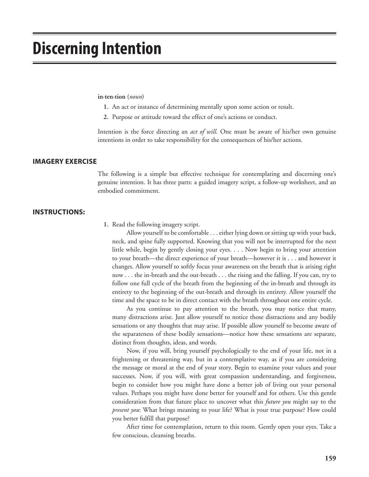# **Discerning Intention**

#### **in·ten·tion (***noun***)**

- **1.** An act or instance of determining mentally upon some action or result.
- **2.** Purpose or attitude toward the effect of one's actions or conduct.

Intention is the force directing an *act of will*. One must be aware of his/her own genuine intentions in order to take responsibility for the consequences of his/her actions.

#### **IMAGERY EXERCISE**

The following is a simple but effective technique for contemplating and discerning one's genuine intention. It has three parts: a guided imagery script, a follow-up worksheet, and an embodied commitment.

### **INSTRUCTIONS:**

 **1.** Read the following imagery script.

Allow yourself to be comfortable . . . either lying down or sitting up with your back, neck, and spine fully supported. Knowing that you will not be interrupted for the next little while, begin by gently closing your eyes. . . . Now begin to bring your attention to your breath—the direct experience of your breath—however it is . . . and however it changes. Allow yourself to softly focus your awareness on the breath that is arising right now . . . the in-breath and the out-breath . . . the rising and the falling. If you can, try to follow one full cycle of the breath from the beginning of the in-breath and through its entirety to the beginning of the out-breath and through its entirety. Allow yourself the time and the space to be in direct contact with the breath throughout one entire cycle.

As you continue to pay attention to the breath, you may notice that many, many distractions arise. Just allow yourself to notice those distractions and any bodily sensations or any thoughts that may arise. If possible allow yourself to become aware of the separateness of these bodily sensations—notice how these sensations are separate, distinct from thoughts, ideas, and words.

Now, if you will, bring yourself psychologically to the end of your life, not in a frightening or threatening way, but in a contemplative way, as if you are considering the message or moral at the end of your story. Begin to examine your values and your successes. Now, if you will, with great compassion understanding, and forgiveness, begin to consider how you might have done a better job of living out your personal values. Perhaps you might have done better for yourself and for others. Use this gentle consideration from that future place to uncover what this *future you* might say to the *present you*: What brings meaning to your life? What is your true purpose? How could you better fulfill that purpose?

After time for contemplation, return to this room. Gently open your eyes. Take a few conscious, cleansing breaths.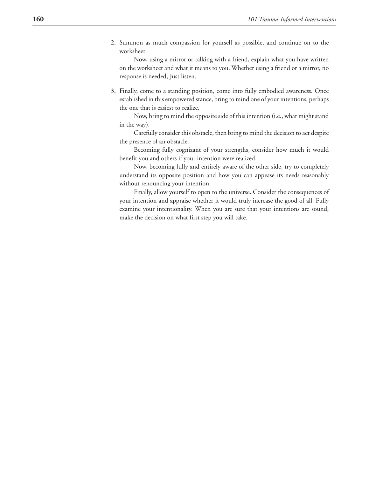**2.** Summon as much compassion for yourself as possible, and continue on to the worksheet.

Now, using a mirror or talking with a friend, explain what you have written on the worksheet and what it means to you. Whether using a friend or a mirror, no response is needed, Just listen.

 **3.** Finally, come to a standing position, come into fully embodied awareness. Once established in this empowered stance, bring to mind one of your intentions, perhaps the one that is easiest to realize.

Now, bring to mind the opposite side of this intention (i.e., what might stand in the way).

Carefully consider this obstacle, then bring to mind the decision to act despite the presence of an obstacle.

Becoming fully cognizant of your strengths, consider how much it would benefit you and others if your intention were realized.

Now, becoming fully and entirely aware of the other side, try to completely understand its opposite position and how you can appease its needs reasonably without renouncing your intention.

Finally, allow yourself to open to the universe. Consider the consequences of your intention and appraise whether it would truly increase the good of all. Fully examine your intentionality. When you are sure that your intentions are sound, make the decision on what first step you will take.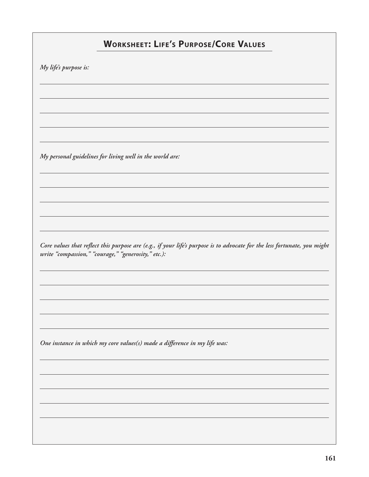## **WORKSHEET: LIFE'S PURPOSE/CORE VALUES**

*My life's purpose is:*

*My personal guidelines for living well in the world are:*

*Core values that reflect this purpose are (e.g., if your life's purpose is to advocate for the less fortunate, you might write "compassion," "courage," "generosity," etc.):*

*One instance in which my core values(s) made a difference in my life was:*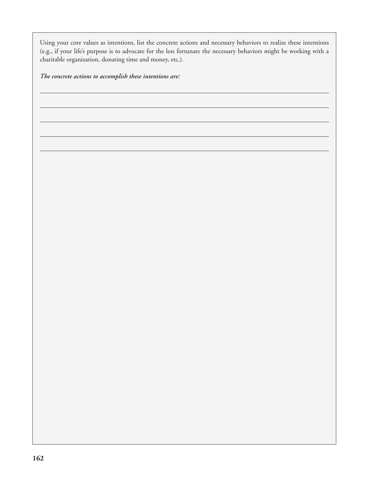Using your core values as intentions, list the concrete actions and necessary behaviors to realize these intentions (e.g., if your life's purpose is to advocate for the less fortunate the necessary behaviors might be working with a charitable organization, donating time and money, etc.).

*The concrete actions to accomplish these intentions are:*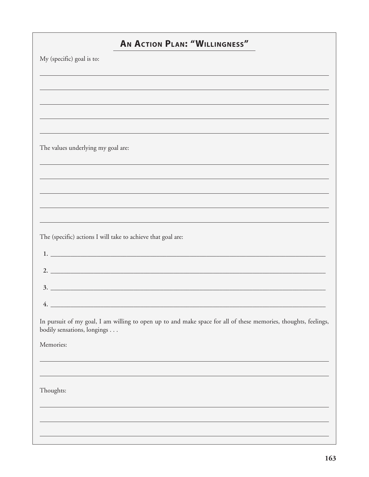|                                                              | <b>AN ACTION PLAN: "WILLINGNESS"</b>                                                                            |
|--------------------------------------------------------------|-----------------------------------------------------------------------------------------------------------------|
| My (specific) goal is to:                                    |                                                                                                                 |
|                                                              |                                                                                                                 |
|                                                              | ,我们也不能会有一个人的事情。""我们的人们是不是我们的人,我们也不能会有一个人的人,我们也不能会有一个人的人,我们也不能会有一个人的人,我们也不能会有一个人的人                               |
|                                                              |                                                                                                                 |
|                                                              | ,我们也不会有什么。""我们的人,我们也不会有什么?""我们的人,我们也不会有什么?""我们的人,我们也不会有什么?""我们的人,我们也不会有什么?""我们的人                                |
| The values underlying my goal are:                           |                                                                                                                 |
|                                                              |                                                                                                                 |
|                                                              |                                                                                                                 |
|                                                              |                                                                                                                 |
|                                                              |                                                                                                                 |
|                                                              | ,我们也不会有什么。""我们的人,我们也不会有什么?""我们的人,我们也不会有什么?""我们的人,我们也不会有什么?""我们的人,我们也不会有什么?""我们的人                                |
| The (specific) actions I will take to achieve that goal are: |                                                                                                                 |
|                                                              |                                                                                                                 |
|                                                              | 2. $\overline{\phantom{a}}$                                                                                     |
|                                                              | 3.                                                                                                              |
| 4.                                                           |                                                                                                                 |
| bodily sensations, longings                                  | In pursuit of my goal, I am willing to open up to and make space for all of these memories, thoughts, feelings, |
| Memories:                                                    |                                                                                                                 |
|                                                              |                                                                                                                 |
|                                                              |                                                                                                                 |
| Thoughts:                                                    |                                                                                                                 |
|                                                              |                                                                                                                 |
|                                                              | ,我们也不会有一个人的人,我们也不会有一个人的人,我们也不会有一个人的人。""我们,我们也不会有一个人的人,我们也不会有一个人的人。""我们,我们也不会有一个人                                |
|                                                              |                                                                                                                 |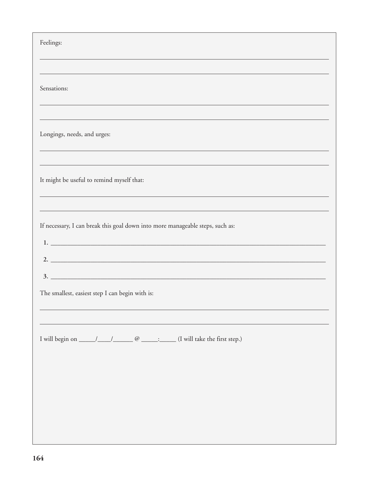| Feelings:                                                                                 |
|-------------------------------------------------------------------------------------------|
|                                                                                           |
| Sensations:                                                                               |
|                                                                                           |
| Longings, needs, and urges:<br><u> 1989 - Johann Stoff, amerikansk politiker (* 1908)</u> |
|                                                                                           |
| It might be useful to remind myself that:                                                 |
| ,我们也不会有什么。""我们的人,我们也不会有什么?""我们的人,我们也不会有什么?""我们的人,我们也不会有什么?""我们的人,我们也不会有什么?""我们的人          |
| If necessary, I can break this goal down into more manageable steps, such as:             |
|                                                                                           |
|                                                                                           |
|                                                                                           |
| The smallest, easiest step I can begin with is:                                           |
|                                                                                           |
|                                                                                           |
|                                                                                           |
|                                                                                           |
|                                                                                           |
|                                                                                           |
|                                                                                           |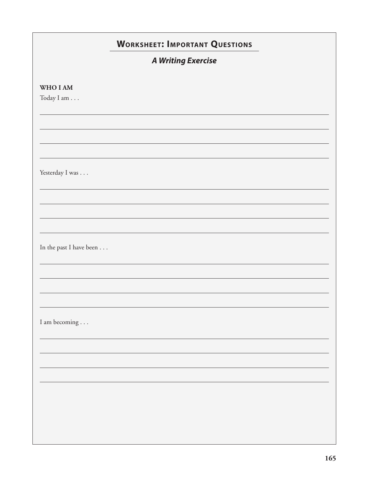|                         | <b>WORKSHEET: IMPORTANT QUESTIONS</b> |  |
|-------------------------|---------------------------------------|--|
|                         | <b>A Writing Exercise</b>             |  |
| WHO I AM<br>Today I am  |                                       |  |
|                         |                                       |  |
|                         |                                       |  |
| Yesterday I was         |                                       |  |
|                         |                                       |  |
| In the past I have been |                                       |  |
|                         |                                       |  |
| I am becoming           |                                       |  |
|                         |                                       |  |
|                         |                                       |  |
|                         |                                       |  |
|                         |                                       |  |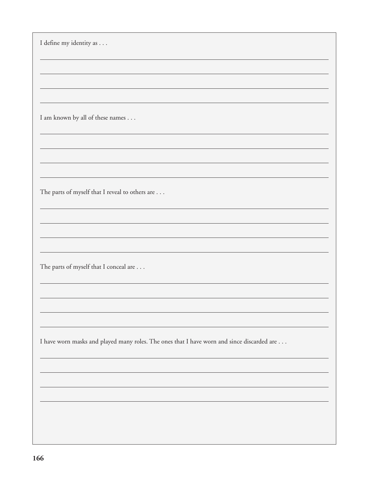I define my identity as . . .

I am known by all of these names . . .

The parts of myself that I reveal to others are . . .

The parts of myself that I conceal are . . .

I have worn masks and played many roles. The ones that I have worn and since discarded are . . .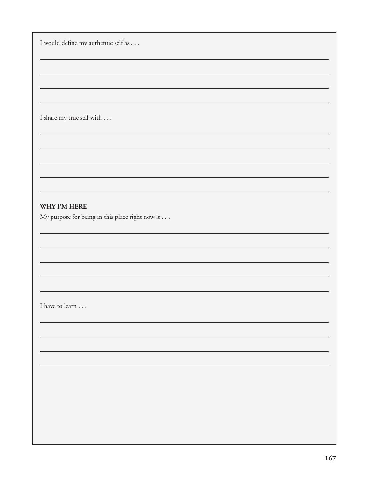I would define my authentic self as . . .

I share my true self with . . .

### **WHY I'M HERE**

My purpose for being in this place right now is . . .

I have to learn . . .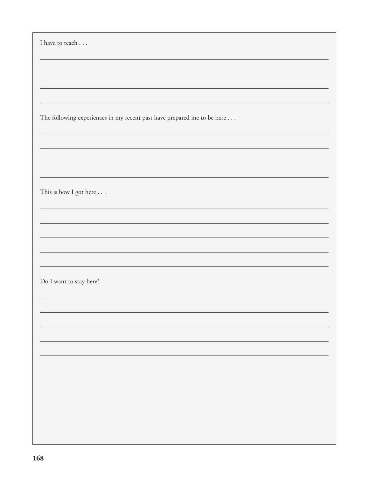| I have to teach                                                         |
|-------------------------------------------------------------------------|
|                                                                         |
|                                                                         |
|                                                                         |
|                                                                         |
|                                                                         |
|                                                                         |
|                                                                         |
|                                                                         |
| The following experiences in my recent past have prepared me to be here |
|                                                                         |
|                                                                         |
|                                                                         |
|                                                                         |
|                                                                         |
|                                                                         |
|                                                                         |
|                                                                         |
| This is how I got here                                                  |
|                                                                         |
|                                                                         |
|                                                                         |
|                                                                         |
|                                                                         |
|                                                                         |
|                                                                         |
|                                                                         |
|                                                                         |
| Do I want to stay here?                                                 |
|                                                                         |
|                                                                         |
|                                                                         |
|                                                                         |
|                                                                         |
|                                                                         |
|                                                                         |
|                                                                         |
|                                                                         |
|                                                                         |
|                                                                         |
|                                                                         |
|                                                                         |
|                                                                         |
|                                                                         |
|                                                                         |
|                                                                         |
|                                                                         |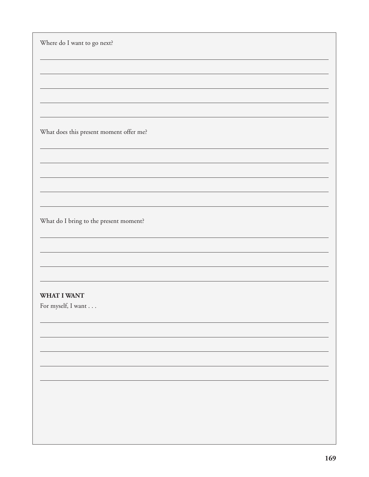| Where do I want to go next? |                                         |  |  |
|-----------------------------|-----------------------------------------|--|--|
|                             |                                         |  |  |
|                             |                                         |  |  |
|                             |                                         |  |  |
|                             |                                         |  |  |
|                             | What does this present moment offer me? |  |  |
|                             |                                         |  |  |
|                             |                                         |  |  |
|                             |                                         |  |  |
|                             |                                         |  |  |
|                             | What do I bring to the present moment?  |  |  |
|                             |                                         |  |  |
|                             |                                         |  |  |
|                             |                                         |  |  |
| WHAT I WANT                 |                                         |  |  |
| For myself, I want          |                                         |  |  |
|                             |                                         |  |  |
|                             |                                         |  |  |
|                             |                                         |  |  |
|                             |                                         |  |  |
|                             |                                         |  |  |
|                             |                                         |  |  |
|                             |                                         |  |  |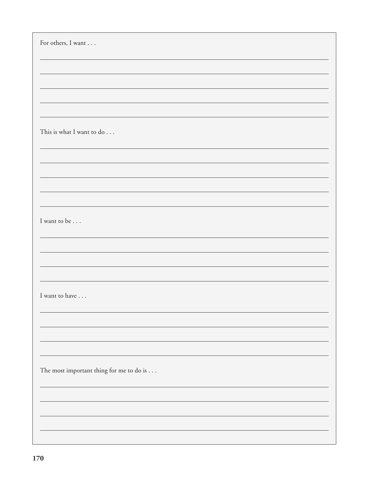| For others, I want                       |
|------------------------------------------|
|                                          |
|                                          |
|                                          |
|                                          |
| This is what I want to do                |
|                                          |
|                                          |
|                                          |
| I want to be                             |
|                                          |
|                                          |
|                                          |
| I want to have                           |
|                                          |
|                                          |
|                                          |
| The most important thing for me to do is |
|                                          |
|                                          |
|                                          |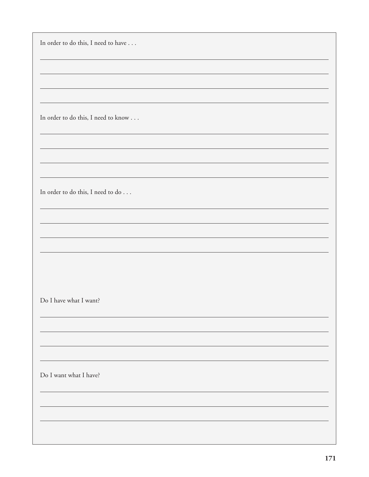In order to do this, I need to have . . .

In order to do this, I need to know . . .

In order to do this, I need to do . . .

Do I have what I want?

Do I want what I have?

<u> 1989 - Johann Stoff, deutscher Stoffen und der Stoffen und der Stoffen und der Stoffen und der Stoffen und de</u>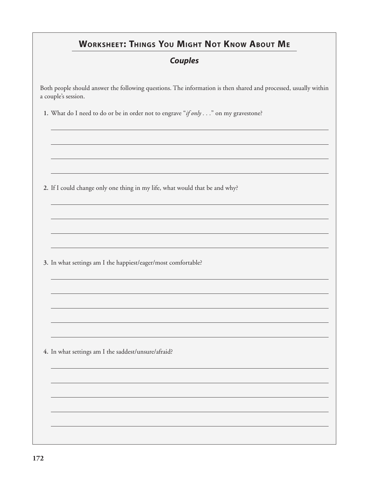# **WORKSHEET: THINGS YOU MIGHT NOT KNOW ABOUT ME**

### **Couples**

Both people should answer the following questions. The information is then shared and processed, usually within a couple's session.

 **1.** What do I need to do or be in order not to engrave "*if only . . .*" on my gravestone?

 **2.** If I could change only one thing in my life, what would that be and why?

 **3.** In what settings am I the happiest/eager/most comfortable?

 **4.** In what settings am I the saddest/unsure/afraid?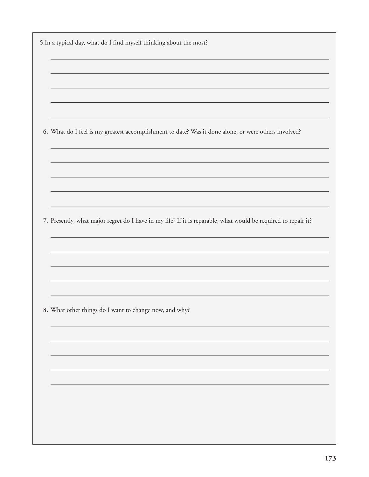| 6. What do I feel is my greatest accomplishment to date? Was it done alone, or were others involved?           |
|----------------------------------------------------------------------------------------------------------------|
|                                                                                                                |
|                                                                                                                |
|                                                                                                                |
|                                                                                                                |
| 7. Presently, what major regret do I have in my life? If it is reparable, what would be required to repair it? |
|                                                                                                                |
|                                                                                                                |
|                                                                                                                |
|                                                                                                                |
|                                                                                                                |
| 8. What other things do I want to change now, and why?                                                         |
|                                                                                                                |
|                                                                                                                |
|                                                                                                                |
|                                                                                                                |
|                                                                                                                |